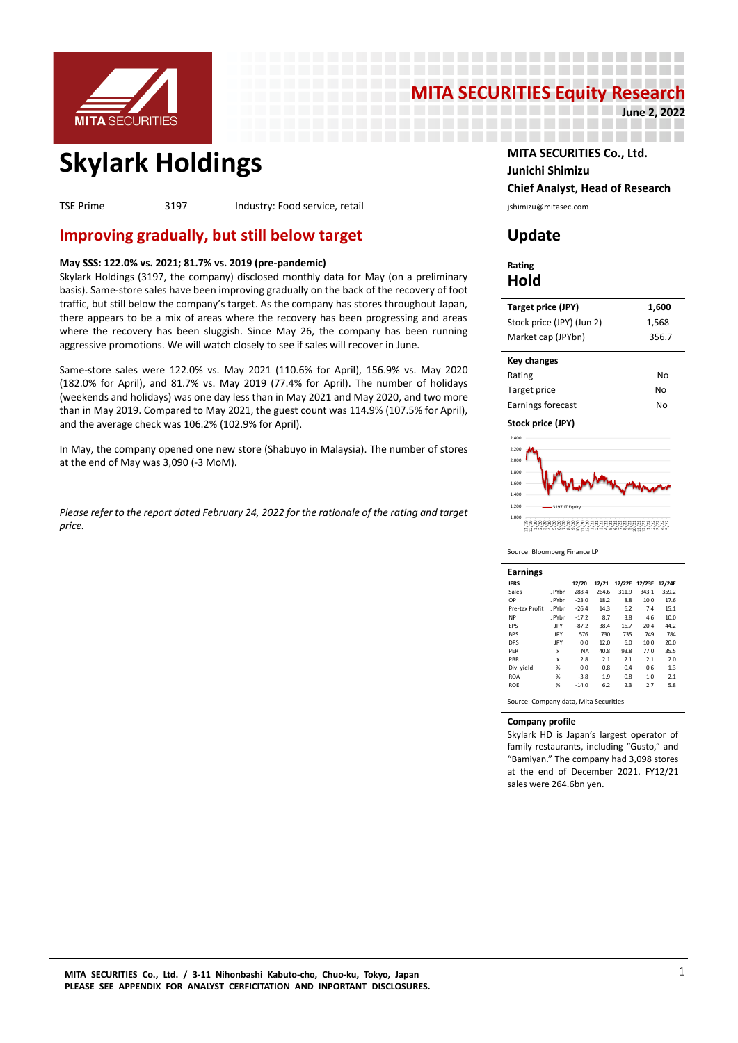

# **MITA SECURITIES Equity Research June 2, 2022**

---------------------

---------------

------------------

# **Skylark Holdings MITA SECURITIES Co., Ltd.**

TSE Prime 3197 Industry: Food service, retail industry: Food service in the service of the service is a substitution of the service is a service in the service in the service is a service in the service in the service is a

## **Improving gradually, but still below target Update**

#### **May SSS: 122.0% vs. 2021; 81.7% vs. 2019 (pre-pandemic)**

Skylark Holdings (3197, the company) disclosed monthly data for May (on a preliminary basis). Same-store sales have been improving gradually on the back of the recovery of foot traffic, but still below the company's target. As the company has stores throughout Japan, there appears to be a mix of areas where the recovery has been progressing and areas where the recovery has been sluggish. Since May 26, the company has been running aggressive promotions. We will watch closely to see if sales will recover in June.

Same-store sales were 122.0% vs. May 2021 (110.6% for April), 156.9% vs. May 2020 (182.0% for April), and 81.7% vs. May 2019 (77.4% for April). The number of holidays (weekends and holidays) was one day less than in May 2021 and May 2020, and two more than in May 2019. Compared to May 2021, the guest count was 114.9% (107.5% for April), and the average check was 106.2% (102.9% for April).

In May, the company opened one new store (Shabuyo in Malaysia). The number of stores at the end of May was 3,090 (-3 MoM).

*Please refer to the report dated February 24, 2022 for the rationale of the rating and target price.* 

# **Junichi Shimizu Chief Analyst, Head of Research**

#### **Rating Hold**

| 17 - 14 -                 |       |
|---------------------------|-------|
| Market cap (JPYbn)        | 356.7 |
| Stock price (JPY) (Jun 2) | 1.568 |
| Target price (JPY)        | 1,600 |
|                           |       |

| Key changes       |    |
|-------------------|----|
| Rating            | No |
| Target price      | No |
| Earnings forecast | No |

**Stock price (JPY)**



Source: Bloomberg Finance LP

| <b>Earnings</b> |              |           |       |       |                      |       |
|-----------------|--------------|-----------|-------|-------|----------------------|-------|
| <b>IFRS</b>     |              | 12/20     | 12/21 |       | 12/22E 12/23E 12/24E |       |
| Sales           | <b>IPYhn</b> | 288.4     | 264.6 | 311.9 | 343.1                | 359.2 |
| OP              | <b>IPYhn</b> | $-23.0$   | 18.2  | 8.8   | 10.0                 | 17.6  |
| Pre-tax Profit  | <b>IPYhn</b> | $-26.4$   | 14.3  | 6.2   | 7.4                  | 15.1  |
| <b>NP</b>       | <b>IPYhn</b> | $-17.2$   | 8.7   | 3.8   | 4.6                  | 10.0  |
| <b>FPS</b>      | <b>IPY</b>   | $-87.2$   | 38.4  | 16.7  | 20.4                 | 44.2  |
| <b>BPS</b>      | IPY          | 576       | 730   | 735   | 749                  | 784   |
| <b>DPS</b>      | <b>IPY</b>   | 0.0       | 12.0  | 6.0   | 10.0                 | 20.0  |
| <b>PFR</b>      | x            | <b>NA</b> | 40.8  | 93.8  | 77.0                 | 35.5  |
| PBR             | x            | 2.8       | 2.1   | 2.1   | 2.1                  | 2.0   |
| Div. yield      | %            | 0.0       | 0.8   | 0.4   | 0.6                  | 1.3   |
| <b>ROA</b>      | %            | $-3.8$    | 1.9   | 0.8   | 1.0                  | 2.1   |
| <b>ROE</b>      | %            | $-14.0$   | 6.2   | 2.3   | 2.7                  | 5.8   |
|                 |              |           |       |       |                      |       |

Source: Company data, Mita Securities

#### **Company profile**

Skylark HD is Japan's largest operator of family restaurants, including "Gusto," and "Bamiyan." The company had 3,098 stores at the end of December 2021. FY12/21 sales were 264.6bn yen.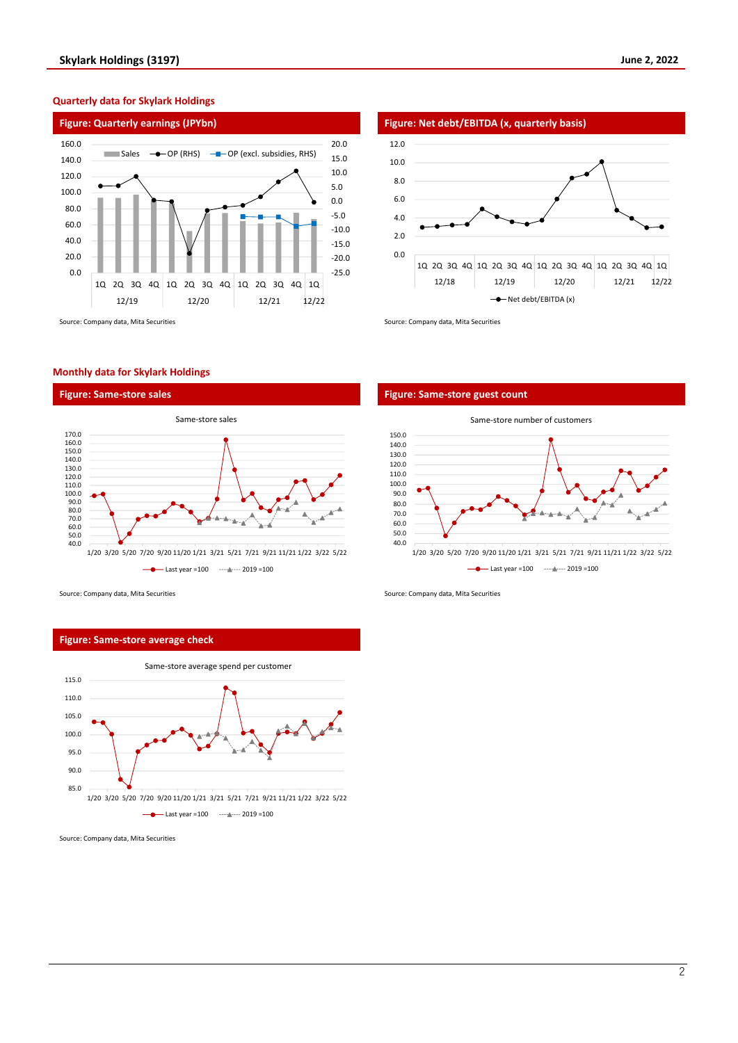

#### **Quarterly data for Skylark Holdings**



#### **Monthly data for Skylark Holdings**





#### Source: Company data, Mita Securities Source: Company data, Mita Securities Source: Company data, Mita Securities

#### **Figure: Same-store average check**



Source: Company data, Mita Securities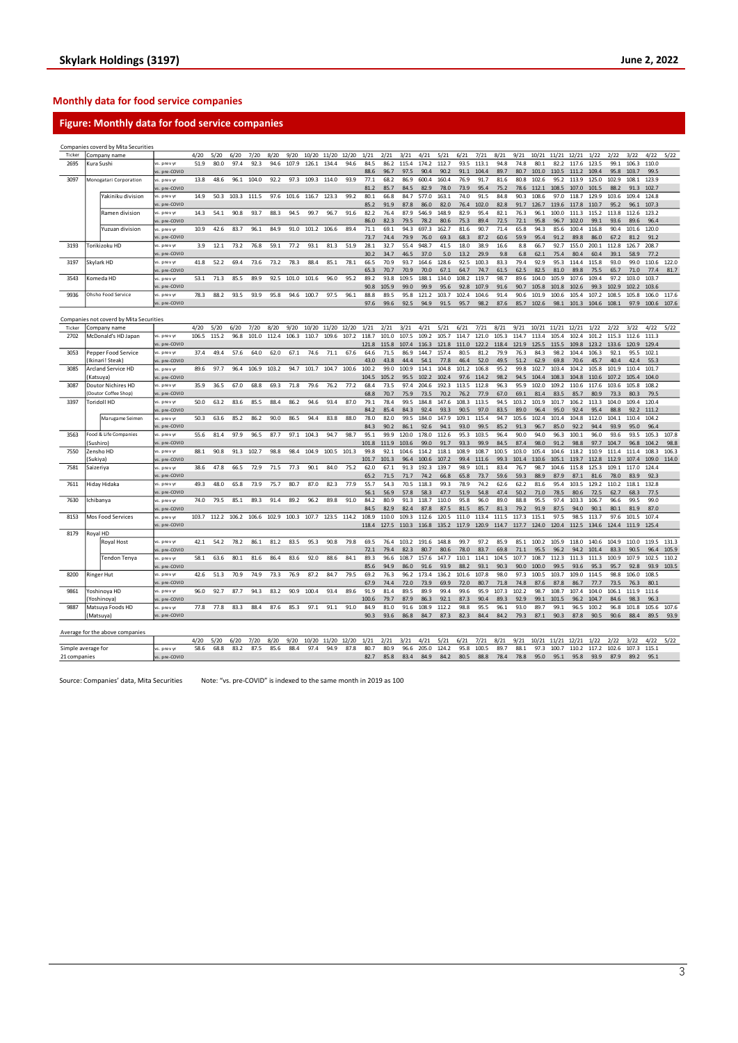#### **Monthly data for food service companies**

### **Figure: Monthly data for food service companies**

|                    |           | Companies coverd by Mita Securities     |                             |       |       |       |       |       |       |       |       |       |               |              |               |               |               |               |               |               |              |                |               |                |                   |               |                         |                  |       |
|--------------------|-----------|-----------------------------------------|-----------------------------|-------|-------|-------|-------|-------|-------|-------|-------|-------|---------------|--------------|---------------|---------------|---------------|---------------|---------------|---------------|--------------|----------------|---------------|----------------|-------------------|---------------|-------------------------|------------------|-------|
| Ticker             |           | Company name                            |                             | 4/20  | 5/20  | 6/20  | 7/20  | 8/20  | 9/20  | 10/20 | 11/20 | 12/20 | 1/21          | 2/21         | 3/21          | 4/21          | 5/21          | 6/21          | 7/21          | 8/21          | 9/21         | 10/21          | 11/21         | 12/21          | 1/22              | 2/22          | 3/22                    | 4/22             | 5/22  |
| 2695               |           | Kura Sush                               | vs. prev yr                 | 51.9  | 80.0  | 97.4  | 92.3  | 94.6  | 107.9 | 126.1 | 134.4 | 94.6  | 84.5          | 86.2         | 115.4         | 174.2         | 112.7         | 93.5          | 113.1         | 94.8          | 74.8         | 80.1           | 82.2          | 117.6          | 123.5             | 99.1          | 106.3                   | 110.0            |       |
|                    |           |                                         | s. pre-COVID                |       |       |       |       |       |       |       |       |       | 88.6          | 96.7         | 97.5          | 90.4          | 90.2          | 91.1          | 104.4         | 89.7          | 80.7         | 101.0          | 110.5         | 111.2          | 109.4             | 95.8          | 103.7                   | 99.5             |       |
| 3097               |           | Monogatari Corporation                  | vs. prev yr                 | 13.8  | 48.6  | 96.1  | 104.0 | 92.2  | 97.3  | 109.3 | 114.0 | 93.9  | 77.1          | 68.2         | 86.9          | 600.4         | 160.4         | 76.9          | 91.7          | 81.6          | 80.8         | 102.6          | 95.2          | 113.9          | 125.0             | 102.9         | 108.1                   | 123.9            |       |
|                    |           |                                         | s. pre-COVID<br>s. prev v   | 14.9  | 50.3  | 103.3 | 111.5 | 97.6  | 101.6 | 116.7 | 123.3 | 99.2  | 81.2<br>80.1  | 85.7<br>66.8 | 84.5<br>84.7  | 82.9<br>577.0 | 78.0<br>163.1 | 73.9<br>74.0  | 95.4<br>91.5  | 75.2<br>84.8  | 78.6<br>90.3 | 112.1<br>108.6 | 108.5<br>97.0 | 107.0<br>118.7 | 101.5<br>129.9    | 88.2<br>103.6 | 91.3<br>109.4           | 102.7<br>124.8   |       |
|                    |           | Yakiniku division                       | s. pre-COVID                |       |       |       |       |       |       |       |       |       | 85.2          | 91.9         | 87.8          | 86.0          | 82.0          | 76.4          | 102.0         | 82.8          | 91.7         | 126.7          | 119.6         | 117.8          | 110.7             | 95.2          | 96.1                    | 107.3            |       |
|                    |           | Ramen division                          | s. prev y                   | 14.3  | 54.1  | 90.8  | 93.7  | 88.3  | 94.5  | 99.7  | 96.7  | 91.6  | 82.2          | 76.4         | 87.9          | 546.9         | 148.9         | 82.9          | 95.4          | 82.1          | 76.3         | 96.1           | 100.0         | 111.3          | 115.2             | 113.8         | 112.6                   | 123.2            |       |
|                    |           |                                         | s. pre-COVID                |       |       |       |       |       |       |       |       |       | 86.0          | 82.3         | 79.5          | 78.2          | 80.6          | 75.3          | 89.4          | 72.5          | 72.1         | 95.8           | 96.7          | 102.0          | 99.1              | 93.6          | 89.6                    | 96.4             |       |
|                    |           | Yuzuan division                         | vs. prev yr                 | 10.9  | 42.6  | 83.7  | 96.1  | 84.9  | 91.0  | 101.2 | 106.6 | 89.4  | 71.1          | 69.1         | 94.3          | 697.3         | 162.7         | 81.6          | 90.7          | 71.4          | 65.8         | 94.3           | 85.6          | 100.4          | 116.8             | 90.4          | 101.6                   | 120.0            |       |
|                    |           |                                         | s. pre-COVID                |       |       |       |       |       |       |       |       |       | 73.7          | 74.4         | 79.9          | 76.0          | 69.3          | 68.3          | 87.2          | 60.6          | 59.9         | 95.4           | 91.2          | 89.8           | 86.0              | 67.2          | 81.2                    | 91.2             |       |
| 3193               |           | Torikizoku HD                           | vs. prev yr                 | 3.9   | 12.1  | 73.2  | 76.8  | 59.1  | 77.2  | 93.1  | 81.3  | 51.9  | 28.1          | 32.7         | 55.4          | 948.7         | 41.5          | 18.0          | 38.9          | 16.6          | 8.8          | 66.7           | 92.7          | 155.0          | 200.1             | 112.8         | 126.7                   | 208.7            |       |
|                    |           |                                         | vs. pre-COVID               |       |       |       |       |       |       |       |       |       | 30.2          | 34.7         | 46.5          | 37.0          | 5.0           | 13.2          | 29.9          | 9.8           | 6.8          | 62.1           | 75.4          | 80.4           | 60.4              | 39.1          | 58.9                    | 77.2             |       |
| 3197               |           | Skylark HD                              | vs. prev yr                 | 41.8  | 52.2  | 69.4  | 73.6  | 73.2  | 78.3  | 88.4  | 85.1  | 78.1  | 66.5          | 70.9         | 93.7          | 164.6         | 128.6         | 92.5          | 100.3         | 83.3          | 79.4         | 92.9           | 95.3          | 114.4          | 115.8             | 93.0          | 99.0                    | 110.6            | 122.0 |
|                    |           |                                         | vs. pre-COVID               |       |       |       |       |       |       |       |       |       | 65.3          | 70.7         | 70.9          | 70.0          | 67.1          | 64.7          | 74.7          | 61.5          | 62.5         | 82.5           | 81.0          | 89.8           | 75.5              | 65.7          | 71.0                    | 77.4             | 81.7  |
| 3543               |           | Komeda HD                               | s. prev yi                  | 53.1  | 71.3  | 85.5  | 89.9  | 92.5  | 101.0 | 101.6 | 96.0  | 95.2  | 89.2          | 93.8         | 109.5         | 188.1         | 134.0         | 108.2         | 119.7         | 98.7          | 89.6         | 104.0          | 105.9         | 107.6          | 109.4             | 97.2          | 103.0                   | 103.7            |       |
|                    |           |                                         | s. pre-COVID                |       |       |       |       |       |       |       |       |       | 90.8          | 105.9        | 99.0          | 99.9          | 95.6          | 92.8          | 107.9         | 91.6          | 90.7         | 105.8          | 101.8         | 102.6          | 99.3              | 102.9         | 102.2                   | 103.6            |       |
| 9936               |           | Ohsho Food Service                      | vs. prev yr                 | 78.3  | 88.2  | 93.5  | 93.9  | 95.8  | 94.6  | 100.7 | 97.5  | 96.1  | 88.8          | 89.5         | 95.8          | 121.2         | 103.7         | 102.4         | 104.6         | 91.4          | 90.6         | 101.9          | 100.6         | 105.4          | 107.2             | 108.5         | 105.8                   | 106.0            | 117.6 |
|                    |           |                                         | vs. pre-COVID               |       |       |       |       |       |       |       |       |       | 97.6          | 99.6         | 92.5          | 94.9          | 91.5          | 95.7          | 98.2          | 87.6          | 85.7         | 102.6          | 98.1          |                | 101.3 104.6 108.1 |               |                         | 97.9 100.6 107.6 |       |
|                    |           |                                         |                             |       |       |       |       |       |       |       |       |       |               |              |               |               |               |               |               |               |              |                |               |                |                   |               |                         |                  |       |
|                    |           | Companies not coverd by Mita Securities |                             |       |       |       |       |       |       |       |       |       |               |              |               |               |               |               |               |               |              |                |               |                |                   |               |                         |                  |       |
| Ticker             |           | Company name                            |                             | 4/20  | 5/20  | 6/20  | 7/20  | 8/20  | 9/20  | 10/20 | 11/20 | 12/20 | 1/21          | 2/21         | 3/21          | 4/21          | 5/21          | 6/21          | 7/21          | 8/21          | 9/21         | 10/21          | 11/21         | 12/21          | 1/22              | 2/22          | 3/22                    | 4/22             | 5/22  |
| 2702               |           | McDonald's HD Japan                     | vs. prev yr                 | 106.5 | 115.2 | 96.8  | 101.0 | 112.4 | 106.3 | 110.7 | 109.6 | 107.2 | 118.7         | 101.0        | 107.5         | 109.2         | 105.7         | 114.7         | 121.0         | 105.3         | 114.7        | 113.4          | 105.4         | 102.4          | 101.2             | 115.3         | 112.6                   | 111.3            |       |
|                    |           |                                         | s. pre-COVID                |       |       |       |       |       |       |       |       |       | 121.8         | 115.8        | 107.4         | 116.3<br>1447 | 121.8<br>1574 | 111.0         | 122.2         | 118.4<br>79.9 | 121.9        | 125.5<br>84.3  | 115.5<br>98.2 | 109.8          | 123.2             | 133.6<br>92.1 | 120.9<br>95.5           | 129.4<br>102.1   |       |
| 3053               |           | epper Food Service                      | vs. prev vr                 | 37.4  | 49.4  | 57.6  | 64.0  | 62.0  | 67.1  | 74.6  | 71.1  | 67.6  | 64.6          | 71.5         | 86.9          |               |               | 80.5          | 81.2          |               | 76.3         |                |               | 104.4          | 106.3             |               |                         |                  |       |
| 3085               |           | Ikinari! Steak)<br>Arcland Service HD   | vs. pre-COVID<br>s. prev y  | 89.6  | 97.7  | 96.4  | 106.9 | 103.2 | 94.7  | 101.7 | 104.7 | 100.6 | 43.0<br>100.2 | 43.8<br>99.0 | 44.4<br>100.9 | 54.1<br>114.1 | 77.8<br>104.8 | 46.4<br>101.2 | 52.0<br>106.8 | 49.5<br>95.2  | 51.2<br>99.8 | 62.9<br>102.7  | 69.8<br>103.4 | 70.6<br>104.2  | 45.7<br>105.8     | 40.4<br>101.9 | 42.4<br>110.4           | 55.3<br>101.7    |       |
|                    | Katsuval  |                                         | s. pre-COVID                |       |       |       |       |       |       |       |       |       | 104.5         | 105.2        | 95.5          | 102.2         | 102.4         | 97.6          | 114.2         | 98.2          | 94.5         | 104.4          | 108.3         | 104.8          | 110.6             | 107.2         | 105.4                   | 104.0            |       |
| 3087               |           | Doutor Nichires HD                      | vs. prev yr                 | 35.9  | 36.5  | 67.0  | 68.8  | 69.3  | 71.8  | 79.6  | 76.2  | 77.2  | 68.4          | 73.5         | 97.4          | 204.6         | 192.3         | 113.5         | 112.8         | 96.3          | 95.9         | 102.0          | 109.2         | 110.6          | 117.6             | 103.6         | 105.8                   | 108.2            |       |
|                    |           | Doutor Coffee Shop)                     | vs. pre-COVID               |       |       |       |       |       |       |       |       |       | 68.8          | 70.7         | 75.9          | 73.5          | 70.2          | 76.2          | 77.9          | 67.0          | 69.1         | 81.4           | 83.5          | 85.7           | 80.9              | 73.3          | 80.3                    | 79.5             |       |
| 3397               |           | Toridoll HD                             | vs. prev vi                 | 50.0  | 63.2  | 83.6  | 85.5  | 88.4  | 86.2  | 94.6  | 93.4  | 87.0  | 79.1          | 78.4         | 99.5          | 184.8         | 147.6         | 108.3         | 113.5         | 94.5          | 103.2        | 101.9          | 101.7         | 106.2          | 113.3             | 104.0         | 109.4                   | 120.4            |       |
|                    |           |                                         | s. pre-COVID                |       |       |       |       |       |       |       |       |       | 84.2          | 85.4         | 84.3          | 92.4          | 93.3          | 90.5          | 97.0          | 83.5          | 89.0         | 96.4           | 95.0          | 92.4           | 95.4              | 88.8          | 92.2                    | 111.2            |       |
|                    |           | Marugame Seimen                         | vs. prev yr                 | 50.3  | 63.6  | 85.2  | 86.2  | 90.0  | 86.5  | 94.4  | 83.8  | 88.0  | 78.0          | 82.0         | 99.5          | 184.0         | 147.9         | 109.1         | 115.4         | 94.7          | 105.6        | 102.4          | 101.4         | 104.8          | 112.0             | 104.1         | 110.4                   | 104.2            |       |
|                    |           |                                         | vs. pre-COVID               |       |       |       |       |       |       |       |       |       | 84.3          | 90.2         | 86.1          | 92.6          | 94.1          | 93.0          | 99.5          | 85.2          | 91.3         | 96.7           | 85.0          | 92.2           | 94.4              | 93.9          | 95.0                    | 96.4             |       |
| 3563               |           | Food & Life Companies                   | s. prev yr                  | 55.6  | 81.4  | 97.9  | 96.5  | 87.7  | 97.1  | 104.3 | 94.7  | 98.7  | 95.1          | 99.9         | 120.0         | 178.0         | 112.6         | 95.3          | 103.5         | 96.4          | 90.0         | 94.0           | 96.3          | 100.1          | 96.0              | 93.6          | 93.5                    | 105.3            | 107.8 |
|                    | Sushiro)  |                                         | vs. pre-COVID               |       |       |       |       |       |       |       |       |       | 101.8         | 111.9        | 103.6         | 99.0          | 91.7          | 93.3          | 99.9          | 84.5          | 87.4         | 98.0           | 91.2          | 98.8           | 97.7              | 104.7         | 96.8                    | 104.2            | 98.8  |
| 7550               |           | Zensho HD                               | vs. prev yr                 | 88.1  | 90.8  | 91.3  | 102.7 | 98.8  | 98.4  | 104.9 | 100.5 | 101.3 | 99.8          | 92.1         | 104.6         | 114.2         | 118.1         | 108.9         | 108.7         | 100.5         | 103.0        | 105.4          | 104.6         | 118.2          | 110.9             | 111.4         | 111.4                   | 108.3            | 106.3 |
|                    | Sukiva)   |                                         | s. pre-COVID                |       |       |       |       |       |       |       |       |       | 101.7         | 101.3        | 96.4          | 100.6         | 107.2         | 99.4          | 111.6         | 99.3          | 101.4        | 110.6          | 105.1         | 119.7          | 112.8             | 112.9         | 107.4                   | 109.0            | 114.0 |
| 7581               | Saizeriya |                                         | vs. prev yr                 | 38.6  | 47.8  | 66.5  | 72.9  | 71.5  | 77.3  | 90.1  | 84.0  | 75.2  | 62.0          | 67.1         | 91.3          | 192.3         | 139.7         | 98.9          | 101.1         | 83.4          | 76.7         | 98.7           | 104.6         | 115.8          | 125.3             | 109.1         | 117.0                   | 124.4            |       |
|                    |           |                                         | s. pre-COVID                |       |       |       |       |       |       |       |       |       | 65.2          | 71.5         | 71.7          | 74.2          | 66.8          | 65.8          | 73.7          | 59.6          | 59.3         | 88.9           | 87.9          | 87.1           | 81.6              | 78.0          | 83.9                    | 92.3             |       |
| 7611               |           | liday Hidaka                            | vs. prev vr                 | 49.3  | 48.0  | 65.8  | 73.9  | 75.7  | 80.7  | 87.0  | 82.3  | 77.9  | 55.7          | 54.3         | 70.5          | 118.3         | 99.3          | 78.9          | 74.2          | 62.6          | 62.2         | 81.6           | 95.4          | 103.5          | 129.2             | 110.2         | 118.1                   | 132.8            |       |
|                    |           |                                         | vs. pre-COVID               |       |       |       |       |       |       |       |       |       | 56.1          | 56.9         | 57.8          | 58.3          | 47.7          | 51.9          | 54.8          | 47.4          | 50.2         | 71.0           | 78.5          | 80.6           | 72.5              | 62.7          | 68.3                    | 77.5             |       |
| 7630               |           | ichibanya                               | s. prev yr                  | 74.0  | 79.5  | 85.1  | 89.3  | 91.4  | 89.2  | 96.2  | 89.8  | 91.0  | 84.2          | 80.9         | 91.3          | 118.7         | 110.0         | 95.8          | 96.0          | 89.0          | 88.8         | 95.5           | 97.4          | 103.3          | 106.7             | 96.6          | 99.5                    | 99.0             |       |
|                    |           |                                         | s. pre-COVID                |       |       |       |       |       |       |       |       |       | 84.5          | 82.9         | 82.4          | 87.8          | 87.5          | 81.5          | 85.7          | 81.3          | 79.2         | 91.9           | 87.5          | 94.0           | 90.1              | 80.1          | 81.9                    | 87.0             |       |
| 8153               |           | <b>Mos Food Services</b>                | vs. prev yr                 | 103.7 | 112.2 | 106.2 | 106.6 | 102.9 | 100.3 | 107.7 | 123.5 | 114.2 | 108.9         | 110.0        | 109.3         | 112.6         | 120.5         | 111.0         | 113.4         | 111.5         | 117.3        | 115.1          | 97.5          | 98.5           | 113.7             | 97.6          | 101.5                   | 107.4            |       |
| 8179               |           |                                         | vs. pre-COVID               |       |       |       |       |       |       |       |       |       | 118.4         |              | 127.5 110.3   | 116.8         | 135.2         | 117.9 120.9   |               | 114.7         | 117.7        | 124.0          | 120.4         | 112.5          |                   |               | 134.6 124.4 111.9 125.4 |                  |       |
|                    | Royal HD  |                                         | rs. prev yr                 | 42.1  | 54.2  | 78.2  | 86.1  | 81.2  | 83.5  | 95.3  | 90.8  | 79.8  | 69.5          | 76.4         | 103.2         | 191.6         | 148.8         | 99.7          | 97.2          | 85.9          | 85.1         | 100.2          | 105.9         | 118.0          | 140.6             | 104.9         | 110.0                   | 119.5            | 131.3 |
|                    |           | Royal Host                              |                             |       |       |       |       |       |       |       |       |       | 72.1          | 79.4         | 82.3          | 80.7          | 80.6          | 78.0          | 83.7          | 69.8          | 71.1         | 95.5           | 96.2          | 94.2           | 101.4             | 83.3          | 90.5                    | 96.4             | 105.9 |
|                    |           | <b>Tendon Tenya</b>                     | s. pre-COVID<br>vs. prev vi | 58.1  | 63.6  | 80.1  | 81.6  | 86.4  | 83.6  | 92.0  | 88.6  | 84.1  | 89.3          | 96.6         | 108.7         | 157.6         | 147.7         | 110.1         | 114.1         | 104.5         | 107.7        | 108.7          | 112.3         | 111.3          | 111.3             | 100.9         | 107.9                   | 102.5            | 110.2 |
|                    |           |                                         | s. pre-COVID                |       |       |       |       |       |       |       |       |       | 85.6          | 94.9         | 86.0          | 91.6          | 93.9          | 88.2          | 93.1          | 90.3          | 90.0         | 100.0          | 99.5          | 93.6           | 95.3              | 95.7          | 92.8                    | 93.9             | 103.5 |
| 8200               |           | <b>Ringer Hut</b>                       | vs. prev y                  | 42.6  | 51.3  | 70.9  | 74.9  | 73.3  | 76.9  | 87.2  | 84.7  | 79.5  | 69.2          | 76.3         | 96.2          | 173.4         | 136.2         | 101.6         | 107.8         | 98.0          | 97.3         | 100.5          | 103.7         | 109.0          | 114.5             | 98.8          | 106.0                   | 108.5            |       |
|                    |           |                                         | s. pre-COVID                |       |       |       |       |       |       |       |       |       | 67.9          | 74.4         | 72.0          | 73.9          | 69.9          | 72.0          | 80.7          | 71.8          | 74.8         | 87.6           | 87.8          | 86.7           | 77.7              | 73.5          | 76.3                    | 80.1             |       |
| 9861               |           | Yoshinoya HD                            | s. prev vr                  | 96.0  | 92.7  | 87.7  | 94.3  | 83.2  | 90.9  | 100.4 | 93.4  | 89.6  | 91.9          | 81.4         | 89.5          | 89.9          | 99.4          | 99.6          | 95.9          | 107.3         | 102.2        | 98.7           | 108.7         | 107.4          | 104.0             | 106.1         | 111.9                   | 111.6            |       |
|                    |           | Yoshinova                               | s. pre-COVID                |       |       |       |       |       |       |       |       |       | 100.6         | 79.7         | 87.9          | 86.3          | 92.1          | 87.3          | 90.4          | 89.3          | 92.9         | 99.1           | 101.5         | 96.2           | 104.7             | 84.6          | 98.3                    | 96.3             |       |
| 9887               |           | Matsuya Foods HD                        | s. prev y                   | 77.8  | 77.8  | 83.3  | 88.4  | 87.6  | 85.3  | 97.1  | 91.1  | 91.0  | 84.9          | 81.0         | 91.6          | 108.9         | 112.2         | 98.8          | 95.5          | 96.1          | 93.0         | 89.7           | 99.1          | 96.5           | 100.2             | 96.8          | 101.8                   | 105.6            | 107.6 |
|                    |           | Matsuya)                                | vs. pre-COVID               |       |       |       |       |       |       |       |       |       | 90.3          | 93.6         | 86.8          | 84.7          | 87.3          | 82.3          | 84.4          | 84.2          | 79.3         | 87.1           | 90.3          | 87.8           | 90.5              | 90.6          | 88.4                    | 89.5             | 93.9  |
|                    |           |                                         |                             |       |       |       |       |       |       |       |       |       |               |              |               |               |               |               |               |               |              |                |               |                |                   |               |                         |                  |       |
|                    |           | Average for the above companies         |                             |       |       |       |       |       |       |       |       |       |               |              |               |               |               |               |               |               |              |                |               |                |                   |               |                         |                  |       |
|                    |           |                                         |                             | 4/20  | 5/20  | 6/20  | 7/20  | 8/20  | 9/20  | 10/20 | 11/20 | 12/20 | 1/21          | 2/21         | 3/21          | 4/21          | 5/21          | 6/21          | 7/21          | 8/21          | 9/21         | 10/21          | 11/21         | 12/21          | 1/22              | 2/22          | 3/22                    | 4/22             | 5/22  |
| Simple average for |           |                                         | vs. prev yr                 | 58.6  | 68.8  | 83.2  | 87.5  | 85.6  | 88.4  | 97.4  | 94.9  | 87.8  | 80.7          | 80.9         | 96.6          | 205.0         | 124.2         | 95.8          | 100.5         | 89.7          | 88.1         | 97.3           | 100.7         | 110.2          | 117.2             | 102.6         | 107.3                   | 115.1            |       |
| 21 companies       |           |                                         | vs. pre-COVID               |       |       |       |       |       |       |       |       |       | 82.7          | 85.8         | 83.4          | 84.9          | 84.2          | 80.5          | 88.8          | 78.4          | 78.8         | 95.0           | 95.1          | 95.8           | 93.9              | 87.9          | 89.2                    | 95.1             |       |

Source: Companies' data, Mita Securities Note: "vs. pre-COVID" is indexed to the same month in 2019 as 100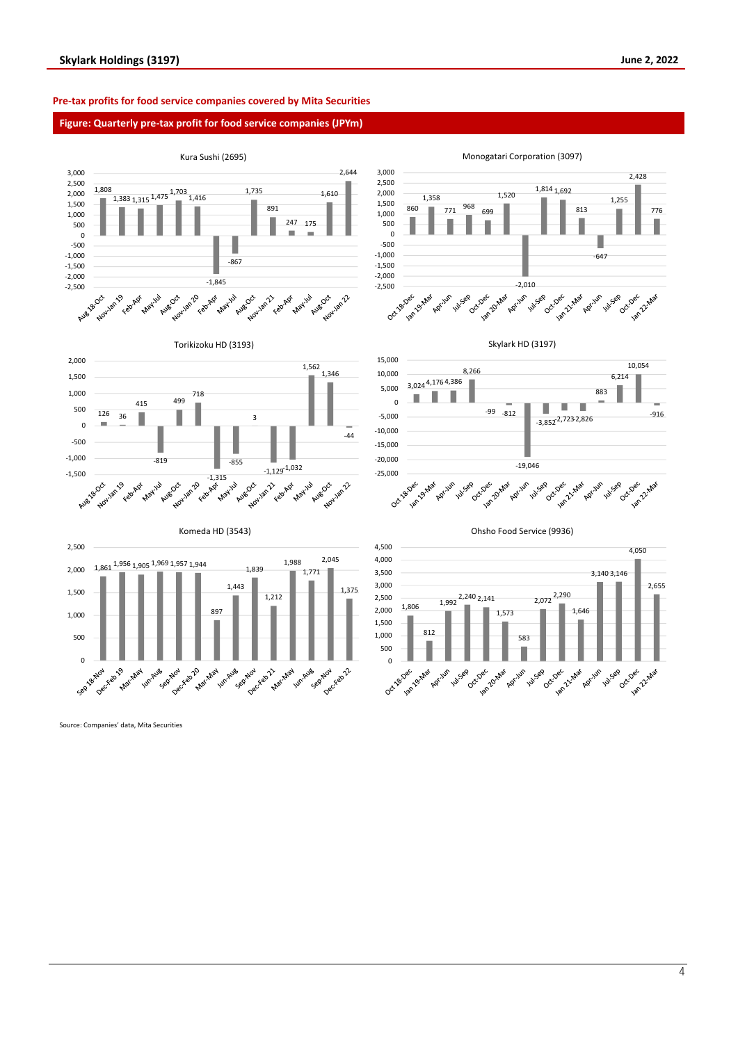#### **Pre-tax profits for food service companies covered by Mita Securities**

#### **Figure: Quarterly pre-tax profit for food service companies (JPYm)**



Source: Companies' data, Mita Securities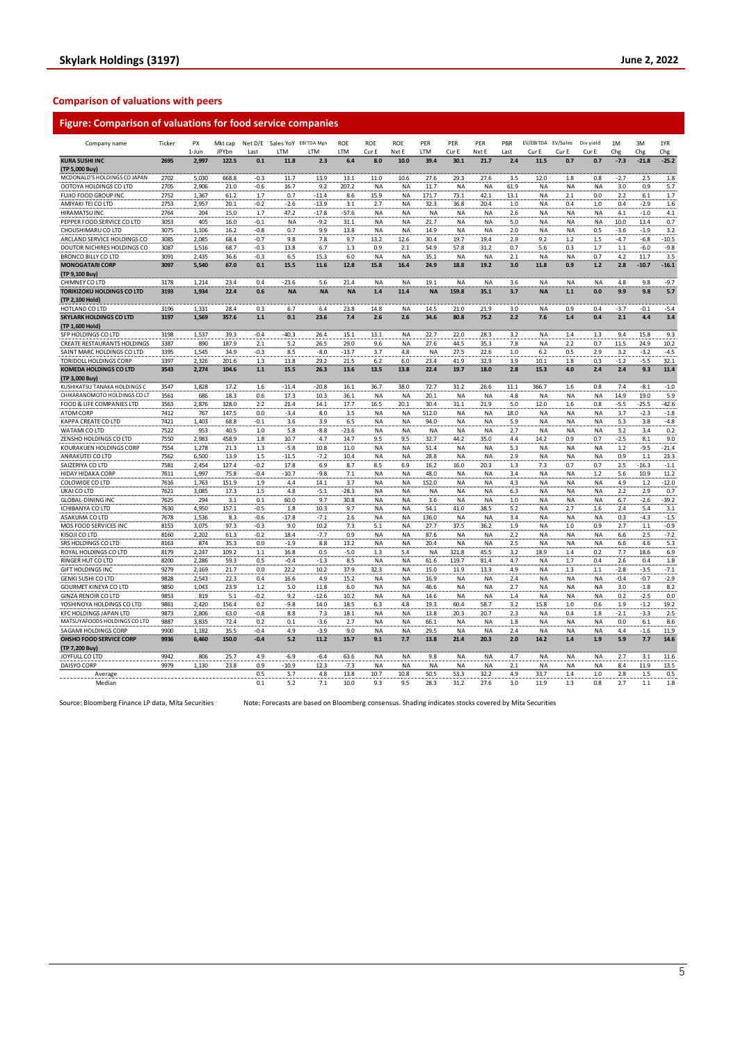### **Comparison of valuations with peers**

| <b>Figure: Comparison of valuations for food service companies</b> |  |  |
|--------------------------------------------------------------------|--|--|
|                                                                    |  |  |

| Company name                       | Ticker | PX<br>$1 - \ln n$ | Mkt cap<br><b>JPYbn</b> | <b>Last</b> | Net D/E Sales YoY EBITDA Mgn<br><b>ITM</b> | <b>ITM</b> | <b>ROE</b><br>LTM | <b>ROE</b><br>Cur E | ROE<br>Nxt E | PER<br>LTM | PER<br>Cur E | PER<br>Nxt F | PBR<br>Last | EV/EBITDA EV/Sales<br>Cur F | Cur F     | Div yield<br>Cur F | 1M<br>Chg | 3M<br>Chg | 1YR<br>${\sf Chg}$ |
|------------------------------------|--------|-------------------|-------------------------|-------------|--------------------------------------------|------------|-------------------|---------------------|--------------|------------|--------------|--------------|-------------|-----------------------------|-----------|--------------------|-----------|-----------|--------------------|
| <b>KURA SUSHI INC</b>              | 2695   | 2,997             | 122.5                   | 0.1         | 11.8                                       | 2.3        | 6.4               | 8.0                 | 10.0         | 39.4       | 30.1         | 21.7         | 2.4         | 11.5                        | 0.7       | 0.7                | $-7.3$    | $-21.8$   | $-25.2$            |
| (TP 5,000 Buy                      |        |                   |                         |             |                                            |            |                   |                     |              |            |              |              |             |                             |           |                    |           |           |                    |
| MCDONALD'S HOLDINGS CO JAPAN       | 2702   | 5,030             | 668.8                   | $-0.3$      | 11.7                                       | 13.9       | 13.1              | 11.0                | 10.6         | 27.6       | 29.3         | 27.6         | 3.5         | 12.0                        | 1.8       | 0.8                | $-2.7$    | 2.5       | 1.8                |
| OOTOYA HOLDINGS CO LTD             | 2705   | 2,906             | 21.0                    | $-0.6$      | 16.7                                       | 9.2        | 207.2             | NA                  | <b>NA</b>    | 11.7       | <b>NA</b>    | NA           | 61.9        | <b>NA</b>                   | <b>NA</b> | <b>NA</b>          | 3.0       | 0.9       | 5.7                |
| FUJIO FOOD GROUP INC               | 2752   | 1,367             | 61.2                    | 1.7         | 0.7                                        | $-11.4$    | 8.6               | 15.9                | <b>NA</b>    | 171.7      | 73.1         | 42.1         | 13.1        | <b>NA</b>                   | 2.1       | 0.0                | 2.2       | 6.1       | 1.7                |
| AMIYAKI TEI CO LTD                 | 2753   | 2,957             | 20.1                    | $-0.2$      | $-2.6$                                     | $-13.9$    | 3.1               | 2.7                 | <b>NA</b>    | 32.3       | 36.8         | 20.4         | 1.0         | <b>NA</b>                   | 0.4       | 1.0                | 0.4       | $-2.9$    | 1.6                |
| HIRAMATSU INC                      | 2764   | 204               | 15.0                    | 1.7         | 47.2                                       | $-17.8$    | -57.6             | NA                  | <b>NA</b>    | <b>NA</b>  | <b>NA</b>    | NA           | 2.6         | <b>NA</b>                   | <b>NA</b> | <b>NA</b>          | 4.1       | $-1.0$    | 4.1                |
| PEPPER FOOD SERVICE CO LTD         | 3053   | 405               | 16.0                    | $-0.1$      | <b>NA</b>                                  | $-9.2$     | 31.1              | <b>NA</b>           | <b>NA</b>    | 21.7       | <b>NA</b>    | <b>NA</b>    | 5.0         | <b>NA</b>                   | <b>NA</b> | NA                 | 10.0      | 13.4      | 0.7                |
| CHOUSHIMARU CO LTD                 | 3075   | 1,106             | 16.2                    | $-0.8$      | 0.7                                        | 9.9        | 13.8              | <b>NA</b>           | <b>NA</b>    | 14.9       | <b>NA</b>    | NA           | 2.0         | <b>NA</b>                   | <b>NA</b> | 0.5                | $-3.6$    | $-1.9$    | 3.2                |
| ARCLAND SERVICE HOLDINGS CO        | 3085   | 2.085             | 68.4                    | $-0.7$      | 9.8                                        | 7.8        | 9.7               | 13.2                | 12.6         | 30.4       | 19.7         | 19.4         | 2.9         | 9.2                         | 1.2       | 1.5                | $-4.7$    | $-6.8$    | $-10.5$            |
| DOUTOR NICHIRES HOLDINGS CO        | 3087   | 1,516             | 68.7                    | $-0.3$      | 13.8                                       | 6.7        | 1.3               | 0.9                 | 2.1          | 54.9       | 57.8         | 31.2         | 0.7         | 5.6                         | 0.3       | 1.7                | 1.1       | $-6.0$    | $-9.8$             |
| <b>BRONCO BILLY CO LTD</b>         | 3091   | 2,435             | 36.6                    | $-0.3$      | 6.5                                        | 15.3       | 6.0               | <b>NA</b>           | NA           | 35.1       | <b>NA</b>    | <b>NA</b>    | 2.1         | <b>NA</b>                   | <b>NA</b> | 0.7                | 4.2       | 11.7      | 3.5                |
| <b>MONOGATARI CORP</b>             | 3097   | 5,540             | 67.0                    | 0.1         | 15.5                                       | 11.6       | 12.8              | 15.8                | 16.4         | 24.9       | 18.8         | 19.2         | 3.0         | 11.8                        | 0.9       | 1.2                | 2.8       | $-10.7$   | $-16.1$            |
| (TP 9,100 Buy)                     |        |                   |                         |             |                                            |            |                   |                     |              |            |              |              |             |                             |           |                    |           |           |                    |
| CHIMNEY CO LTD                     | 3178   | 1,214             | 23.4                    | 0.4         | $-23.6$                                    | 5.6        | 21.4              | <b>NA</b>           | <b>NA</b>    | 19.1       | <b>NA</b>    | <b>NA</b>    | 3.6         | <b>NA</b>                   | <b>NA</b> | <b>NA</b>          | 4.8       | 98        | $-9.7$             |
| <b>TORIKIZOKU HOLDINGS CO LTD</b>  | 3193   | 1.934             | 22.4                    | 0.6         | <b>NA</b>                                  | <b>NA</b>  | <b>NA</b>         | 1.4                 | 11.4         | <b>NA</b>  | 159.8        | 35.1         | 3.7         | <b>NA</b>                   | 1.1       | 0.0                | 9.9       | 9.8       | 5.7                |
| (TP 2,100 Hold)                    |        |                   |                         |             |                                            |            |                   |                     |              |            |              |              |             |                             |           |                    |           |           |                    |
| HOTI AND CO ITD                    | 3196   | 1,331             | 28.4                    | 0.3         | 6.7                                        | 6.4        | 23.8              | 14.8                | <b>NA</b>    | 14.5       | 21.0         | 21.9         | 3.0         | <b>NA</b>                   | 0.9       | 0.4                | $-3.7$    | $-0.1$    | $-5.4$             |
| <b>SKYLARK HOLDINGS CO LTD</b>     | 3197   | 1,569             | 357.6                   | $1.1$       | 0.1                                        | 23.6       | 7.4               | 2.6                 | 2.6          | 34.6       | 80.8         | 75.2         | 2.2         | 7.6                         | 1.4       | 0.4                | 2.1       | 4.4       | 3.4                |
| (TP 1,600 Hold)                    |        |                   |                         |             |                                            |            |                   |                     |              |            |              |              |             |                             |           |                    |           |           |                    |
| SFP HOLDINGS CO LTD                | 3198   | 1,537             | 39.3                    | $-0.4$      | $-40.3$                                    | 26.4       | 15.1              | 13.1                | ΝA           | 22.7       | 22.0         | 28.3         | 3.2         | NA                          | 1.4       | 1.3                | 9.4       | 15.8      | 9.3                |
| <b>CREATE RESTAURANTS HOLDINGS</b> | 3387   | 890               | 187.9                   | 2.1         | 5.2                                        | 26.5       | 29.0              | 9.6                 | <b>NA</b>    | 27.6       | 44.5         | 35.3         | 7.8         | <b>NA</b>                   | 2.2       | 0.7                | 11.5      | 24.9      | 10.2               |
| SAINT MARC HOLDINGS CO LTD         | 3395   | 1,545             | 34.9                    | -0.3        | 8.5                                        | $-8.0$     | $-13.7$           | 3.7                 | 4.8          | <b>NA</b>  | 27.5         | 22.6         | 1.0         | 6.2                         | 0.5       | 2.9                | 3.2       | $-3.2$    | $-4.5$             |
| TORIDOLL HOLDINGS CORP             | 3397   | 2,326             | 201.6                   | 1.3         | 13.8                                       | 29.2       | 21.5              | 6.2                 | 6.0          | 23.4       | 41.9         | 32.9         | 3.9         | 10.1                        | 1.8       | 0.3                | $-1.2$    | $-5.5$    | 32.1               |
| <b>KOMEDA HOLDINGS CO LTD</b>      | 3543   | 2,274             | 104.6                   | 1.1         | 15.5                                       | 26.3       | 13.6              | 13.5                | 13.8         | 22.4       | 19.7         | 18.0         | 2.8         | 15.3                        | 4.0       | 2.4                | 2.4       | 9.3       | 11.4               |
| (TP 3,000 Buy)                     |        |                   |                         |             |                                            |            |                   |                     |              |            |              |              |             |                             |           |                    |           |           |                    |
| KUSHIKATSU TANAKA HOLDINGS C       | 3547   | 1,828             | 17.2                    | 1.6         | $-11.4$                                    | $-20.8$    | 16.1              | 36.7                | 38.0         | 72.7       | 31.2         | 26.6         | 11.1        | 366.7                       | 1.6       | 0.8                | 7.4       | $-8.1$    | $\textbf{-1.0}$    |
| CHIKARANOMOTO HOLDINGS CO LT       | 3561   | 686               | 18.3                    | 0.6         | 17.3                                       | 10.3       | 36.1              | <b>NA</b>           | <b>NA</b>    | 20.1       | <b>NA</b>    | <b>NA</b>    | 4.8         | <b>NA</b>                   | <b>NA</b> | <b>NA</b>          | 14.9      | 19.0      | 5.9                |
| FOOD & LIFE COMPANIES LTD          | 3563   | 2,876             | 328.0                   | 2.2         | 21.4                                       | 14.1       | 17.7              | 16.5                | 20.1         | 30.4       | 31.1         | 21.9         | 5.0         | 12.0                        | 1.6       | 0.8                | $-5.5$    | $-25.5$   | $-42.6$            |
| <b>ATOM CORP</b>                   | 7412   | 767               | 147.5                   | 0.0         | $-3.4$                                     | 8.0        | 3.5               | NA                  | <b>NA</b>    | 512.0      | <b>NA</b>    | NA           | 18.0        | <b>NA</b>                   | <b>NA</b> | <b>NA</b>          | 3.7       | $-2.3$    | $-1.8$             |
| KAPPA CREATE CO LTD                | 7421   | 1,403             | 68.8                    | $-0.1$      | 3.6                                        | 3.9        | 6.5               | <b>NA</b>           | <b>NA</b>    | 94.0       | <b>NA</b>    | <b>NA</b>    | 5.9         | <b>NA</b>                   | <b>NA</b> | <b>NA</b>          | 5.3       | 3.8       | $-4.8$             |
| WATAMI CO LTD                      | 7522   | 953               | 40.5                    | 1.0         | 5.8                                        | $-8.8$     | $-23.6$           | <b>NA</b>           | <b>NA</b>    | <b>NA</b>  | <b>NA</b>    | NA           | 2.7         | <b>NA</b>                   | <b>NA</b> | <b>NA</b>          | 3.2       | 3.4       | 0.2                |
| ZENSHO HOLDINGS CO LTD             | 7550   | 2,983             | 458.9                   | 1.8         | 10.7                                       | 4.7        | 14.7              | 9.5                 | 9.5          | 32.7       | 44.2         | 35.0         | 4.4         | 14.2                        | 0.9       | 0.7                | $-2.5$    | 8.1       | 9.0                |
| KOURAKUEN HOLDINGS CORP            | 7554   | 1,278             | 21.3                    | 1.3         | $-5.8$                                     | 10.8       | 11.0              | <b>NA</b>           | <b>NA</b>    | 51.4       | <b>NA</b>    | NA           | 5.3         | <b>NA</b>                   | <b>NA</b> | <b>NA</b>          | 1.2       | $-9.5$    | $-21.4$            |
| ANRAKUTEI CO LTD                   | 7562   | 6,500             | 13.9                    | 1.5         | $-11.5$                                    | $-7.2$     | 10.4              | NA                  | NA           | 28.8       | <b>NA</b>    | NA           | 2.9         | <b>NA</b>                   | <b>NA</b> | <b>NA</b>          | 0.9       | $1.1\,$   | 23.3               |
| SAIZERIYA CO LTD                   | 7581   | 2,454             | 127.4                   | $-0.2$      | 17.8                                       | 6.9        | 8.7               | 8.5                 | 6.9          | 16.2       | 16.0         | 20.3         | 1.3         | 7.3                         | 0.7       | 0.7                | 2.5       | $-16.3$   | $-1.1$             |
| HIDAY HIDAKA CORP                  | 7611   | 1,997             | 75.8                    | $-0.4$      | $-10.7$                                    | $-9.8$     | 7.1               | <b>NA</b>           | <b>NA</b>    | 48.0       | <b>NA</b>    | NA           | 3.4         | <b>NA</b>                   | <b>NA</b> | 1.2                | 5.6       | 10.9      | 11.2               |
| COLOWIDE CO LTD                    | 7616   | 1,763             | 151.9                   | 1.9         | 4.4                                        | 14.1       | 3.7               | <b>NA</b>           | NA           | 152.0      | <b>NA</b>    | <b>NA</b>    | 4.3         | <b>NA</b>                   | <b>NA</b> | <b>NA</b>          | 4.9       | 1.2       | $-12.0$            |
| UKAI CO LTD                        | 7621   | 3,085             | 17.3                    | 1.5         | 4.8                                        | $-5.1$     | $-28.3$           | NA                  | <b>NA</b>    | <b>NA</b>  | <b>NA</b>    | NA           | 6.3         | <b>NA</b>                   | <b>NA</b> | <b>NA</b>          | 2.2       | 2.9       | 0.7                |
| <b>GLOBAL-DINING INC</b>           | 7625   | 294               | 3.1                     | 0.1         | 60.0                                       | 9.7        | 30.8              | <b>NA</b>           | <b>NA</b>    | 3.6        | <b>NA</b>    | <b>NA</b>    | 1.0         | <b>NA</b>                   | <b>NA</b> | <b>NA</b>          | 6.7       | $-2.6$    | $-39.2$            |
| ICHIBANYA CO LTD                   | 7630   | 4,950             | 157.1                   | $-0.5$      | 1.8                                        | 10.3       | 9.7               | NA                  | NA           | 54.1       | 41.0         | 38.5         | 5.2         | <b>NA</b>                   | 2.7       | 1.6                | 2.4       | 5.4       | 3.1                |
| ASAKUMA CO LTD                     | 7678   | 1,536             | 8.3                     | $-0.6$      | $-17.8$                                    | $-7.1$     | 2.6               | <b>NA</b>           | <b>NA</b>    | 136.0      | <b>NA</b>    | <b>NA</b>    | 3.4         | <b>NA</b>                   | <b>NA</b> | NA                 | 0.3       | $-4.3$    | $-1.5$             |
| MOS FOOD SERVICES INC              | 8153   | 3,075             | 97.3                    | $-0.3$      | 9.0                                        | 10.2       | 7.3               | 5.1                 | NA           | 27.7       | 37.5         | 36.2         | 1.9         | <b>NA</b>                   | $1.0\,$   | 0.9                | 2.7       | $1.1\,$   | $-0.9$             |
| KISOJI CO LTD                      | 8160   | 2,202             | 61.3                    | $-0.2$      | 18.4                                       | -7.7       | 0.9               | NA                  | NA           | 87.6       | <b>NA</b>    | NA           | 2.2         | <b>NA</b>                   | <b>NA</b> | NA                 | 6.6       | 2.5       | $-7.2$             |
| SRS HOLDINGS CO LTD                | 8163   | 874               | 35.3                    | 0.0         | $-1.9$                                     | 8.8        | 13.2              | <b>NA</b>           | NA           | 20.4       | <b>NA</b>    | <b>NA</b>    | 2.5         | <b>NA</b>                   | <b>NA</b> | <b>NA</b>          | 6.6       | 4.6       | 5.3                |
| ROYAL HOLDINGS CO LTD              | 8179   | 2,247             | 109.2                   | 1.1         | 16.8                                       | 0.5        | $-5.0$            | 1.3                 | 5.4          | <b>NA</b>  | 321.8        | 45.5         | 3.2         | 18.9                        | 1.4       | 0.2                | 7.7       | 18.6      | 6.9                |
| RINGER HUT CO LTD                  | 8200   | 2,286             | 59.3                    | 0.5         | $-0.4$                                     | $-1.3$     | 8.5               | NA                  | NA           | 61.6       | 119.7        | 81.4         | 4.7         | <b>NA</b>                   | 1.7       | 0.4                | 2.6       | 0.4       | 1.8                |
| <b>GIFT HOLDINGS INC</b>           | 9279   | 2,169             | 21.7                    | 0.0         | 22.2                                       | 10.2       | 37.9              | 32.3                | <b>NA</b>    | 15.0       | 11.9         | 13.3         | 4.9         | <b>NA</b>                   | 1.3       | 1.1                | $-2.8$    | $-3.5$    | $-7.1$             |
| <b>GENKI SUSHI CO LTD</b>          | 9828   | 2,543             | 22.3                    | 0.4         | 16.6                                       | 4.9        | 15.2              | <b>NA</b>           | <b>NA</b>    | 16.9       | <b>NA</b>    | NA           | 2.4         | <b>NA</b>                   | <b>NA</b> | <b>NA</b>          | $-0.4$    | $-0.7$    | $-2.9$             |
| <b>GOURMET KINEYA CO LTD</b>       | 9850   | 1,043             | 23.9                    | 1.2         | 5.0                                        | 11.8       | 6.0               | <b>NA</b>           | NA           | 46.6       | <b>NA</b>    | NA           | 2.7         | <b>NA</b>                   | <b>NA</b> | NA                 | 3.0       | $-1.8$    | 8.2                |
| <b>GINZA RENOIR CO LTD</b>         | 9853   | 819               | 5.1                     | $-0.2$      | 9.2                                        | $-12.6$    | 10.2              | NA                  | <b>NA</b>    | 14.6       | <b>NA</b>    | NA           | 1.4         | <b>NA</b>                   | <b>NA</b> | <b>NA</b>          | 0.2       | $-2.5$    | 0.0                |
| YOSHINOYA HOLDINGS CO LTD          | 9861   | 2,420             | 156.4                   | 0.2         | $-9.8$                                     | 14.0       | 18.5              | 6.3                 | 4.8          | 19.3       | 60.4         | 58.7         | 3.2         | 15.8                        | 1.0       | 0.6                | 1.9       | $-1.2$    | 19.2               |
| <b>KFC HOLDINGS JAPAN LTD</b>      | 9873   | 2,806             | 63.0                    | $-0.8$      | 8.8                                        | 7.3        | 18.1              | NA                  | <b>NA</b>    | 13.8       | 20.3         | 20.7         | 2.3         | <b>NA</b>                   | 0.4       | 1.8                | $-2.1$    | $-3.3$    | 2.5                |
| MATSUYAFOODS HOLDINGS CO LTD       | 9887   | 3,835             | 72.4                    | 0.2         | 0.1                                        | $-3.6$     | 2.7               | NA                  | <b>NA</b>    | 66.1       | <b>NA</b>    | NA           | 1.8         | <b>NA</b>                   | <b>NA</b> | <b>NA</b>          | 0.0       | 6.1       | 8.6                |
| SAGAMI HOLDINGS CORP               | 9900   | 1,182             | 35.5                    | $-0.4$      | 4.9                                        | $-3.9$     | 9.0               | <b>NA</b>           | <b>NA</b>    | 29.5       | <b>NA</b>    | NA           | 2.4         | <b>NA</b>                   | <b>NA</b> | <b>NA</b>          | 4.4       | $-1.6$    | 11.9               |
| OHSHO FOOD SERVICE CORP            | 9936   | 6,460             | 150.0                   | $-0.4$      | 5.2                                        | 11.2       | 15.7              | 9.1                 | 7.7          | 13.8       | 21.4         | 20.3         | 2.0         | 14.2                        | 1.4       | 1.9                | 5.9       | 7.7       | 14.6               |
| (TP 7,200 Buy)                     |        |                   |                         |             |                                            |            |                   |                     |              |            |              |              |             |                             |           |                    |           |           |                    |
| JOYFULL CO LTD                     | 9942   | 806               | 25.7                    | 4.9         | $-6.9$                                     | $-6.4$     | 63.6              | <b>NA</b>           | NA           | 9.8        | <b>NA</b>    | <b>NA</b>    | 4.7         | <b>NA</b>                   | <b>NA</b> | <b>NA</b>          | 2.7       | 3.1       | 11.6               |
| DAISYO CORP                        | 9979   | 1.130             | 23.8                    | 0.9         | $-10.9$                                    | 12.3       | $-7.3$            | <b>NA</b>           | <b>NA</b>    | <b>NA</b>  | <b>NA</b>    | <b>NA</b>    | 2.1         | <b>NA</b>                   | <b>NA</b> | <b>NA</b>          | 8.4       | 11.9      | 13.5               |
| Average                            |        |                   |                         | 0.5         | 5.7                                        | 4.8        | 13.8              | 10.7                | 10.8         | 50.5       | 53.3         | 32.2         | 4.9         | 33.7                        | 1.4       | 1.0                | 2.8       | 1.5       | 0.5                |
| Median                             |        |                   |                         | 0.1         | 5.2                                        | 7.1        | 10.0              | 9.3                 | 9.5          | 28.3       | 31.2         | 27.6         | 3.0         | 11.9                        | 1.3       | 0.8                | 2.7       | $1.1\,$   | 1.8                |

Source: Bloomberg Finance LP data, Mita Securities Note: Forecasts are based on Bloomberg consensus. Shading indicates stocks covered by Mita Securities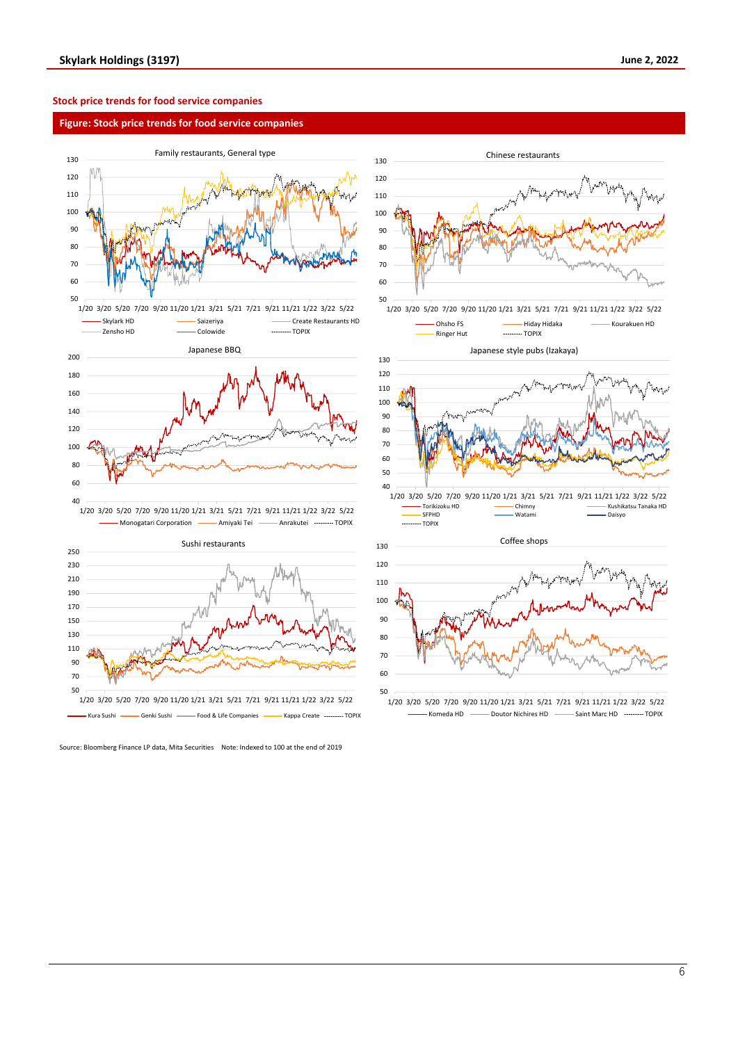#### **Stock price trends for food service companies**

#### **Figure: Stock price trends for food service companies**



Monogatari Corporation **- Amiyaki Tei - Anrakutei Anrakutei** TOPIX



Source: Bloomberg Finance LP data, Mita Securities Note: Indexed to 100 at the end of 2019



<sup>1/20</sup> 3/20 5/20 7/20 9/20 11/20 1/21 3/21 5/21 7/21 9/21 11/21 1/22 3/22 5/22 Komeda HD - Doutor Nichires HD - Saint Marc HD - TOPIX